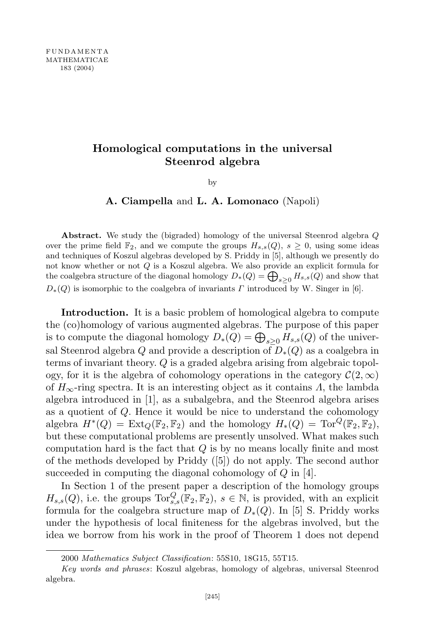## **Homological computations in the universal Steenrod algebra**

by

**A. Ciampella** and **L. A. Lomonaco** (Napoli)

**Abstract.** We study the (bigraded) homology of the universal Steenrod algebra *Q* over the prime field  $\mathbb{F}_2$ , and we compute the groups  $H_{s,s}(Q)$ ,  $s \geq 0$ , using some ideas and techniques of Koszul algebras developed by S. Priddy in [5], although we presently do not know whether or not *Q* is a Koszul algebra. We also provide an explicit formula for the coalgebra structure of the diagonal homology  $D_*(Q) = \bigoplus_{s \geq 0} H_{s,s}(Q)$  and show that  $D_{*}(Q)$  is isomorphic to the coalgebra of invariants *Γ* introduced by W. Singer in [6].

**Introduction.** It is a basic problem of homological algebra to compute the (co)homology of various augmented algebras. The purpose of this paper is to compute the diagonal homology  $D_*(Q) = \bigoplus_{s \geq 0} H_{s,s}(Q)$  of the universal Steenrod algebra *Q* and provide a description of *D∗*(*Q*) as a coalgebra in terms of invariant theory. *Q* is a graded algebra arising from algebraic topology, for it is the algebra of cohomology operations in the category  $\mathcal{C}(2,\infty)$ of *H∞*-ring spectra. It is an interesting object as it contains *Λ*, the lambda algebra introduced in [1], as a subalgebra, and the Steenrod algebra arises as a quotient of *Q*. Hence it would be nice to understand the cohomology algebra  $H^*(Q) = \text{Ext}_Q(\mathbb{F}_2, \mathbb{F}_2)$  and the homology  $H_*(Q) = \text{Tor}^Q(\mathbb{F}_2, \mathbb{F}_2)$ , but these computational problems are presently unsolved. What makes such computation hard is the fact that *Q* is by no means locally finite and most of the methods developed by Priddy ([5]) do not apply. The second author succeeded in computing the diagonal cohomology of *Q* in [4].

In Section 1 of the present paper a description of the homology groups  $H_{s,s}(Q)$ , i.e. the groups  $\text{Tor}_{s,s}^Q(\mathbb{F}_2, \mathbb{F}_2)$ ,  $s \in \mathbb{N}$ , is provided, with an explicit formula for the coalgebra structure map of  $D_{*}(Q)$ . In [5] S. Priddy works under the hypothesis of local finiteness for the algebras involved, but the idea we borrow from his work in the proof of Theorem 1 does not depend

<sup>2000</sup> *Mathematics Subject Classification*: 55S10, 18G15, 55T15.

*Key words and phrases*: Koszul algebras, homology of algebras, universal Steenrod algebra.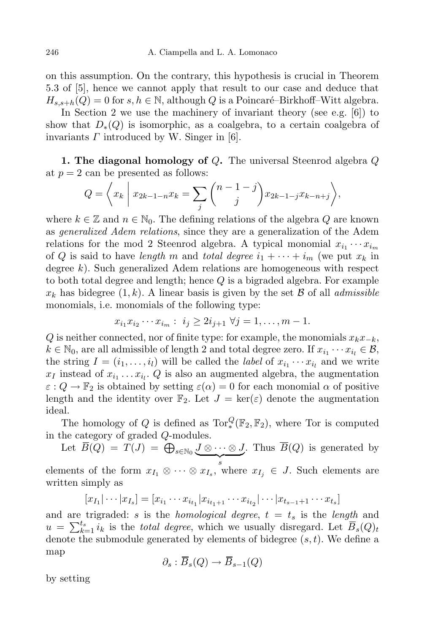on this assumption. On the contrary, this hypothesis is crucial in Theorem 5.3 of [5], hence we cannot apply that result to our case and deduce that  $H_{s,s+h}(Q) = 0$  for  $s, h \in \mathbb{N}$ , although *Q* is a Poincaré–Birkhoff–Witt algebra.

In Section 2 we use the machinery of invariant theory (see e.g. [6]) to show that  $D_{*}(Q)$  is isomorphic, as a coalgebra, to a certain coalgebra of invariants *Γ* introduced by W. Singer in [6].

**1. The diagonal homology of** *Q***.** The universal Steenrod algebra *Q* at  $p = 2$  can be presented as follows:

$$
Q = \left\langle x_k \mid x_{2k-1-n} x_k = \sum_j {n-1-j \choose j} x_{2k-1-j} x_{k-n+j} \right\rangle,
$$

where  $k \in \mathbb{Z}$  and  $n \in \mathbb{N}_0$ . The defining relations of the algebra  $Q$  are known as *generalized Adem relations*, since they are a generalization of the Adem relations for the mod 2 Steenrod algebra. A typical monomial  $x_{i_1} \cdots x_{i_m}$ of Q is said to have *length m* and *total degree*  $i_1 + \cdots + i_m$  (we put  $x_k$  in degree *k*). Such generalized Adem relations are homogeneous with respect to both total degree and length; hence *Q* is a bigraded algebra. For example  $x_k$  has bidegree  $(1, k)$ . A linear basis is given by the set *B* of all *admissible* monomials, i.e. monomials of the following type:

$$
x_{i_1} x_{i_2} \cdots x_{i_m} : i_j \ge 2i_{j+1} \ \forall j = 1, \ldots, m-1.
$$

*Q* is neither connected, nor of finite type: for example, the monomials *xkx−k*,  $k \in \mathbb{N}_0$ , are all admissible of length 2 and total degree zero. If  $x_{i_1} \cdots x_{i_l} \in \mathcal{B}$ , the string  $I = (i_1, \ldots, i_l)$  will be called the *label* of  $x_{i_1} \cdots x_{i_l}$  and we write  $x_I$  instead of  $x_{i_1} \ldots x_{i_l}$ .  $Q$  is also an augmented algebra, the augmentation  $\varepsilon$  :  $Q \to \mathbb{F}_2$  is obtained by setting  $\varepsilon(\alpha) = 0$  for each monomial  $\alpha$  of positive length and the identity over  $\mathbb{F}_2$ . Let  $J = \ker(\varepsilon)$  denote the augmentation ideal.

The homology of *Q* is defined as  $Tor_*^Q(\mathbb{F}_2, \mathbb{F}_2)$ , where Tor is computed in the category of graded *Q*-modules.

Let  $\overline{B}(Q) = T(J) = \bigoplus_{s \in \mathbb{N}_0} \underbrace{J \otimes \cdots \otimes J}_{s}$ . Thus *B*(*Q*) is generated by

elements of the form  $x_{I_1} \otimes \cdots \otimes x_{I_s}$ , where  $x_{I_j} \in J$ . Such elements are written simply as

$$
[x_{I_1}|\cdots|x_{I_s}] = [x_{i_1}\cdots x_{i_{t_1}}|x_{i_{t_1+1}}\cdots x_{i_{t_2}}|\cdots|x_{t_{s-1}+1}\cdots x_{t_s}]
$$

and are trigraded: *s* is the *homological degree*, *t* = *t<sup>s</sup>* is the *length* and  $u = \sum_{k=1}^{t_s} i_k$  is the *total degree*, which we usually disregard. Let  $\overline{B}_s(Q)_t$ denote the submodule generated by elements of bidegree (*s,t*). We define a map

$$
\partial_s : \overline{B}_s(Q) \to \overline{B}_{s-1}(Q)
$$

by setting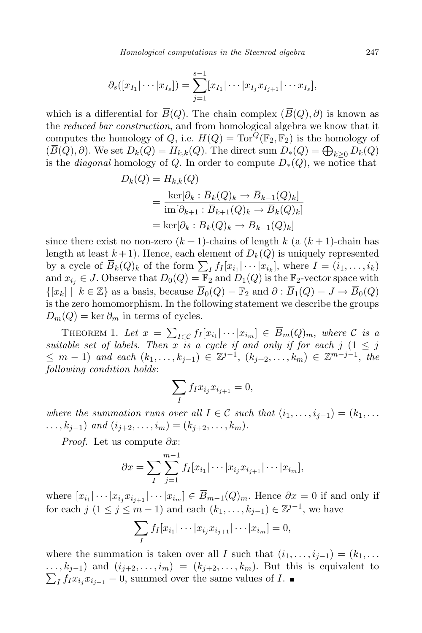*Homological computations in the Steenrod algebra* 247

$$
\partial_s([x_{I_1}|\cdots|x_{I_s}])=\sum_{j=1}^{s-1}[x_{I_1}|\cdots|x_{I_j}x_{I_{j+1}}|\cdots x_{I_s}],
$$

which is a differential for  $\overline{B}(Q)$ . The chain complex  $(\overline{B}(Q), \partial)$  is known as the *reduced bar construction*, and from homological algebra we know that it computes the homology of *Q*, i.e.  $H(Q) = \text{Tor}^Q(\mathbb{F}_2, \mathbb{F}_2)$  is the homology of  $(\overline{B}(Q), \partial)$ . We set  $D_k(Q) = H_{k,k}(Q)$ . The direct sum  $D_*(Q) = \bigoplus_{k \geq 0} D_k(Q)$ is the *diagonal* homology of *Q*. In order to compute  $D_*(Q)$ , we notice that

$$
D_k(Q) = H_{k,k}(Q)
$$
  
= 
$$
\frac{\ker[\partial_k : \overline{B}_k(Q)_k \to \overline{B}_{k-1}(Q)_k]}{\operatorname{im}[\partial_{k+1} : \overline{B}_{k+1}(Q)_k \to \overline{B}_k(Q)_k]}
$$
  
= 
$$
\ker[\partial_k : \overline{B}_k(Q)_k \to \overline{B}_{k-1}(Q)_k]
$$

since there exist no non-zero  $(k+1)$ -chains of length  $k$  (a  $(k+1)$ -chain has length at least  $k+1$ ). Hence, each element of  $D_k(Q)$  is uniquely represented by a cycle of  $\overline{B}_k(Q)_k$  of the form  $\sum_I f_I[x_{i_1}|\cdots|x_{i_k}],$  where  $I=(i_1,\ldots,i_k)$ and  $x_{i_j} \in J$ . Observe that  $D_0(Q) = \mathbb{F}_2$  and  $D_1(Q)$  is the  $\mathbb{F}_2$ -vector space with  $\{[x_k] \mid k \in \mathbb{Z}\}$  as a basis, because  $\overline{B}_0(Q) = \mathbb{F}_2$  and  $\partial : \overline{B}_1(Q) = J \to \overline{B}_0(Q)$ is the zero homomorphism. In the following statement we describe the groups  $D_m(Q) = \ker \partial_m$  in terms of cycles.

THEOREM 1. Let  $x = \sum_{I \in \mathcal{C}} f_I[x_{i_1} | \cdots | x_{i_m}] \in \overline{B}_m(Q)_m$ , where C is a *suitable set of labels. Then*  $\overline{x}$  *is*  $\overline{a}$  *cycle if and only if for each*  $j$  (1  $\leq$  *j*  $\leq m-1$ ) and each  $(k_1, \ldots, k_{j-1}) \in \mathbb{Z}^{j-1}$ ,  $(k_{j+2}, \ldots, k_m) \in \mathbb{Z}^{m-j-1}$ , the *following condition holds*:

$$
\sum_{I} f_I x_{i_j} x_{i_{j+1}} = 0,
$$

where the summation runs over all  $I \in \mathcal{C}$  such that  $(i_1, \ldots, i_{j-1}) = (k_1, \ldots, k_j)$  $\dots, k_{j-1}$  and  $(i_{j+2}, \dots, i_m) = (k_{j+2}, \dots, k_m)$ .

*Proof.* Let us compute *∂x*:

$$
\partial x = \sum_{I} \sum_{j=1}^{m-1} f_I[x_{i_1} | \cdots | x_{i_j} x_{i_{j+1}} | \cdots | x_{i_m}],
$$

where  $[x_{i_1}|\cdots|x_{i_j}x_{i_{j+1}}|\cdots|x_{i_m}]\in B_{m-1}(Q)_m$ . Hence  $\partial x=0$  if and only if for each  $j$   $(1 \leq j \leq m-1)$  and each  $(k_1, \ldots, k_{j-1}) \in \mathbb{Z}^{j-1}$ , we have

$$
\sum_{I} f_I[x_{i_1}|\cdots|x_{i_j}x_{i_{j+1}}|\cdots|x_{i_m}] = 0,
$$

where the summation is taken over all *I* such that  $(i_1, \ldots, i_{i-1}) = (k_1, \ldots, k_i)$  $\dots, k_{j-1}$  and  $(i_{j+2}, \dots, i_m) = (k_{j+2}, \dots, k_m)$ . But this is equivalent to  $I f_I x_{i_j} x_{i_{j+1}} = 0$ , summed over the same values of *I*.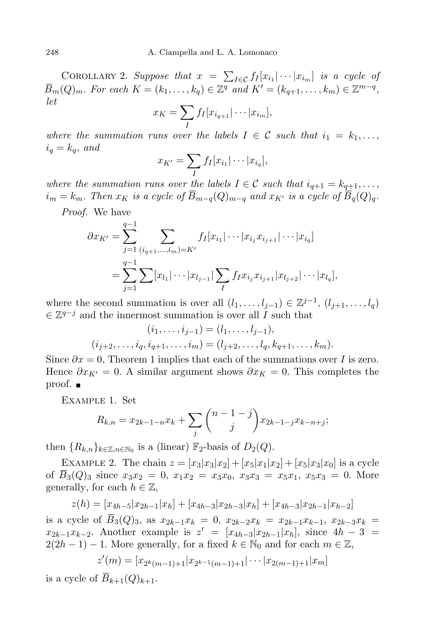COROLLARY 2. *Suppose that*  $x = \sum_{I \in \mathcal{C}} f_I[x_{i_1} | \cdots | x_{i_m}]$  *is a cycle of*  $\overline{B}_m(Q)_m$ . For each  $K = (k_1, \ldots, k_q) \in \mathbb{Z}^q$  and  $K' = (k_{q+1}, \ldots, k_m) \in \mathbb{Z}^{m-q}$ , *let*

$$
x_K = \sum_I f_I[x_{i_{q+1}}| \cdots | x_{i_m}],
$$

*where the summation runs over the labels*  $I \in \mathcal{C}$  *such that*  $i_1 = k_1, \ldots,$  $i_q = k_q$ , *and* 

$$
x_{K'} = \sum_{I} f_I[x_{i_1}|\cdots|x_{i_q}],
$$

*where the summation runs over the labels*  $I \in \mathcal{C}$  *such that*  $i_{q+1} = k_{q+1}, \ldots$  $i_m = k_m$ . Then  $x_K$  is a cycle of  $\overline{B}_{m-q}(Q)_{m-q}$  and  $x_{K'}$  is a cycle of  $\overline{B}_q(Q)_q$ .

*Proof.* We have

$$
\partial x_{K'} = \sum_{j=1}^{q-1} \sum_{(i_{q+1},...,i_m)=K'} f_I[x_{i_1}|\cdots|x_{i_j}x_{i_{j+1}}|\cdots|x_{i_q}]
$$
  
= 
$$
\sum_{j=1}^{q-1} \sum [x_{l_1}|\cdots|x_{l_{j-1}}|\sum_I f_I x_{i_j}x_{i_{j+1}}|x_{l_{j+2}}|\cdots|x_{l_q}],
$$

where the second summation is over all  $(l_1, \ldots, l_{j-1}) \in \mathbb{Z}^{j-1}$ ,  $(l_{j+1}, \ldots, l_q)$ *∈* Z *<sup>q</sup>−<sup>j</sup>* and the innermost summation is over all *I* such that

$$
(i_1, \ldots, i_{j-1}) = (l_1, \ldots, l_{j-1}),
$$
  

$$
(i_{j+2}, \ldots, i_q, i_{q+1}, \ldots, i_m) = (l_{j+2}, \ldots, l_q, k_{q+1}, \ldots, k_m).
$$

Since  $\partial x = 0$ , Theorem 1 implies that each of the summations over *I* is zero. Hence  $\partial x_{K'} = 0$ . A similar argument shows  $\partial x_K = 0$ . This completes the proof.

Example 1. Set

$$
R_{k,n} = x_{2k-1-n}x_k + \sum_j \binom{n-1-j}{j} x_{2k-1-j}x_{k-n+j};
$$

then  ${R_{k,n}}_{k \in \mathbb{Z}, n \in \mathbb{N}_0}$  is a (linear)  $\mathbb{F}_2$ -basis of  $D_2(Q)$ .

EXAMPLE 2. The chain  $z = [x_3|x_3|x_2] + [x_5|x_1|x_2] + [x_5|x_3|x_0]$  is a cycle of  $B_3(Q)_3$  since  $x_3x_2 = 0$ ,  $x_1x_2 = x_3x_0$ ,  $x_3x_3 = x_5x_1$ ,  $x_5x_3 = 0$ . More generally, for each  $h \in \mathbb{Z}$ ,

$$
z(h) = [x_{4h-5}|x_{2h-1}|x_h] + [x_{4h-3}|x_{2h-3}|x_h] + [x_{4h-3}|x_{2h-1}|x_{h-2}]
$$

is a cycle of  $\overline{B}_3(Q)_3$ , as  $x_{2k-1}x_k = 0$ ,  $x_{2k-2}x_k = x_{2k-1}x_{k-1}$ ,  $x_{2k-3}x_k =$  $x_{2k-1}x_{k-2}$ . Another example is  $z' = [x_{4h-3}]x_{2h-1}|x_h$ , since  $4h-3 =$  $2(2h-1)-1$ . More generally, for a fixed  $k \in \mathbb{N}_0$  and for each  $m \in \mathbb{Z}$ ,

$$
z'(m) = [x_{2^k(m-1)+1} | x_{2^{k-1}(m-1)+1} | \cdots | x_{2(m-1)+1} | x_m]
$$

is a cycle of  $\overline{B}_{k+1}(Q)_{k+1}$ .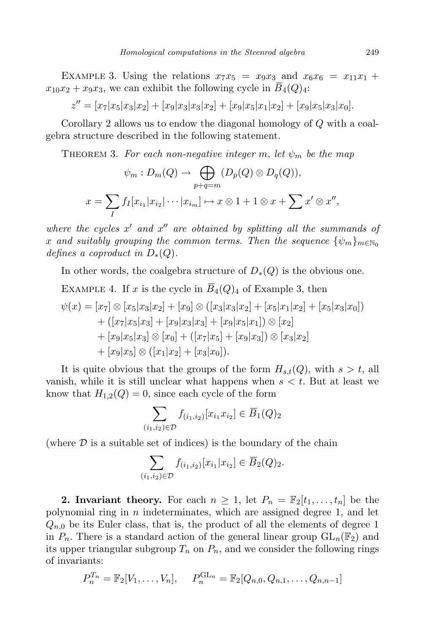EXAMPLE 3. Using the relations  $x_7x_5 = x_9x_3$  and  $x_6x_6 = x_{11}x_1 +$  $x_{10}x_2 + x_9x_3$ , we can exhibit the following cycle in  $\overline{B}_4(Q)_4$ :

 $z'' = [x_7|x_5|x_3|x_2] + [x_9|x_3|x_3|x_2] + [x_9|x_5|x_1|x_2] + [x_9|x_5|x_3|x_0].$ 

Corollary 2 allows us to endow the diagonal homology of *Q* with a coalgebra structure described in the following statement.

THEOREM 3. For each non-negative integer m, let  $\psi_m$  be the map

$$
\psi_m : D_m(Q) \to \bigoplus_{p+q=m} (D_p(Q) \otimes D_q(Q)),
$$
  

$$
x = \sum_I f_I[x_{i_1}|x_{i_2}|\cdots|x_{i_m}] \to x \otimes 1 + 1 \otimes x + \sum x' \otimes x'',
$$

*where the cycles*  $x'$  *and*  $x''$  *are obtained by splitting all the summands of x and suitably grouping the common terms. Then the sequence*  $\{\psi_m\}_{m\in\mathbb{N}_0}$ *defines a coproduct in*  $D_*(Q)$ *.* 

In other words, the coalgebra structure of  $D_{*}(Q)$  is the obvious one.

EXAMPLE 4. If *x* is the cycle in  $\overline{B}_4(Q)_4$  of Example 3, then

$$
\psi(x) = [x_7] \otimes [x_5|x_3|x_2] + [x_9] \otimes ([x_3|x_3|x_2] + [x_5|x_1|x_2] + [x_5|x_3|x_0])
$$
  
+ ([x\_7|x\_5|x\_3] + [x\_9|x\_3|x\_3] + [x\_9|x\_5|x\_1]) \otimes [x\_2]  
+ [x\_9|x\_5|x\_3] \otimes [x\_0] + ([x\_7|x\_5] + [x\_9|x\_3]) \otimes [x\_3|x\_2]  
+ [x\_9|x\_5] \otimes ([x\_1|x\_2] + [x\_3|x\_0]).

It is quite obvious that the groups of the form  $H_{s,t}(Q)$ , with  $s > t$ , all vanish, while it is still unclear what happens when *s < t*. But at least we know that  $H_{1,2}(Q) = 0$ , since each cycle of the form

$$
\sum_{(i_1,i_2)\in\mathcal{D}} f_{(i_1,i_2)}[x_{i_1}x_{i_2}] \in \overline{B}_1(Q)_2
$$

(where  $\mathcal D$  is a suitable set of indices) is the boundary of the chain

$$
\sum_{(i_1,i_2)\in\mathcal{D}} f_{(i_1,i_2)}[x_{i_1}|x_{i_2}] \in \overline{B}_2(Q)_2.
$$

**2. Invariant theory.** For each  $n \geq 1$ , let  $P_n = \mathbb{F}_2[t_1, \ldots, t_n]$  be the polynomial ring in *n* indeterminates, which are assigned degree 1, and let  $Q_{n,0}$  be its Euler class, that is, the product of all the elements of degree 1 in  $P_n$ . There is a standard action of the general linear group  $GL_n(\mathbb{F}_2)$  and its upper triangular subgroup  $T_n$  on  $P_n$ , and we consider the following rings of invariants:

$$
P_n^{T_n} = \mathbb{F}_2[V_1, \dots, V_n], \quad P_n^{\text{GL}_n} = \mathbb{F}_2[Q_{n,0}, Q_{n,1}, \dots, Q_{n,n-1}]
$$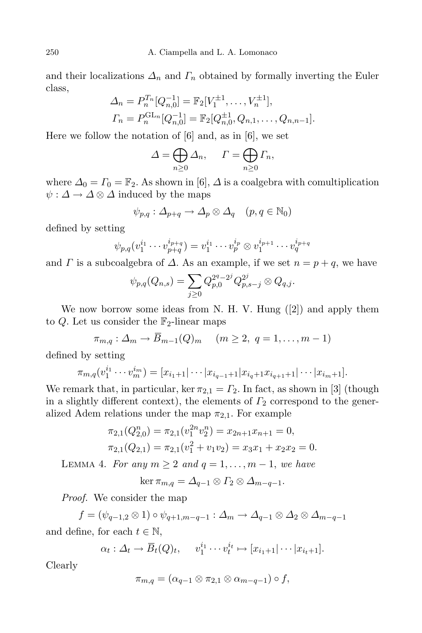and their localizations  $\Delta_n$  and  $\Gamma_n$  obtained by formally inverting the Euler class,

$$
\Delta_n = P_n^{T_n}[Q_{n,0}^{-1}] = \mathbb{F}_2[V_1^{\pm 1}, \dots, V_n^{\pm 1}],
$$
  
\n
$$
\Gamma_n = P_n^{\text{GL}_n}[Q_{n,0}^{-1}] = \mathbb{F}_2[Q_{n,0}^{\pm 1}, Q_{n,1}, \dots, Q_{n,n-1}].
$$

Here we follow the notation of [6] and, as in [6], we set

$$
\Delta = \bigoplus_{n \geq 0} \Delta_n, \quad \Gamma = \bigoplus_{n \geq 0} \Gamma_n,
$$

where  $\Delta_0 = \Gamma_0 = \mathbb{F}_2$ . As shown in [6],  $\Delta$  is a coalgebra with comultiplication  $\psi: \Delta \to \Delta \otimes \Delta$  induced by the maps

$$
\psi_{p,q}: \Delta_{p+q} \to \Delta_p \otimes \Delta_q \quad (p,q \in \mathbb{N}_0)
$$

defined by setting

$$
\psi_{p,q}(v_1^{i_1}\cdots v_{p+q}^{i_{p+q}}) = v_1^{i_1}\cdots v_p^{i_p} \otimes v_1^{i_{p+1}}\cdots v_q^{i_{p+q}}
$$

and *Γ* is a subcoalgebra of  $\Delta$ . As an example, if we set  $n = p + q$ , we have

$$
\psi_{p,q}(Q_{n,s})=\sum_{j\geq 0}Q_{p,0}^{2^q-2^j}Q_{p,s-j}^{2^j}\otimes Q_{q,j}.
$$

We now borrow some ideas from N. H. V. Hung ([2]) and apply them to  $Q$ . Let us consider the  $\mathbb{F}_2$ -linear maps

$$
\pi_{m,q}: \Delta_m \to \overline{B}_{m-1}(Q)_m \quad (m \ge 2, q = 1, \ldots, m-1)
$$

defined by setting

$$
\pi_{m,q}(v_1^{i_1}\cdots v_m^{i_m}) = [x_{i_1+1}|\cdots|x_{i_{q-1}+1}|x_{i_{q}+1}x_{i_{q+1}+1}|\cdots|x_{i_m+1}].
$$

We remark that, in particular, ker  $\pi_{2,1} = \Gamma_2$ . In fact, as shown in [3] (though in a slightly different context), the elements of *Γ*<sup>2</sup> correspond to the generalized Adem relations under the map  $\pi_{2,1}$ . For example

$$
\pi_{2,1}(Q_{2,0}^n) = \pi_{2,1}(v_1^{2n}v_2^n) = x_{2n+1}x_{n+1} = 0,
$$
  

$$
\pi_{2,1}(Q_{2,1}) = \pi_{2,1}(v_1^2 + v_1v_2) = x_3x_1 + x_2x_2 = 0.
$$

LEMMA 4. *For any*  $m \geq 2$  *and*  $q = 1, \ldots, m - 1$ , *we have* 

 $\ker \pi_{m,q} = \Delta_{q-1} \otimes \Gamma_2 \otimes \Delta_{m-q-1}.$ 

*Proof.* We consider the map

 $f = (\psi_{q-1,2} \otimes 1) \circ \psi_{q+1,m-q-1} : \Delta_m \to \Delta_{q-1} \otimes \Delta_2 \otimes \Delta_{m-q-1}$ and define, for each  $t \in \mathbb{N}$ ,

$$
\alpha_t: \Delta_t \to \overline{B}_t(Q)_t, \quad v_1^{i_1} \cdots v_t^{i_t} \mapsto [x_{i_1+1}|\cdots|x_{i_t+1}].
$$

Clearly

$$
\pi_{m,q}=(\alpha_{q-1}\otimes\pi_{2,1}\otimes\alpha_{m-q-1})\circ f,
$$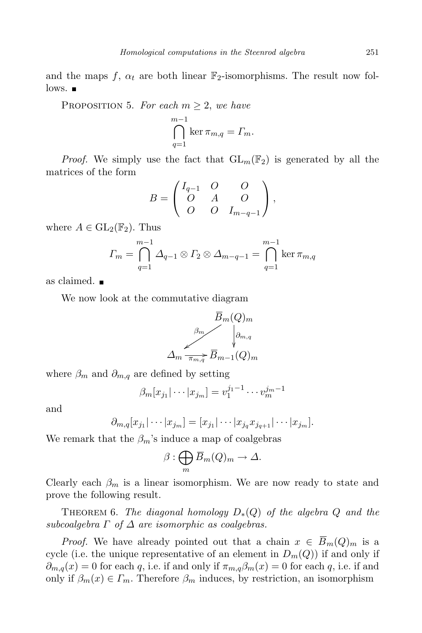and the maps  $f$ ,  $\alpha_t$  are both linear  $\mathbb{F}_2$ -isomorphisms. The result now fol- $\log_{10}$ 

PROPOSITION 5. For each  $m \geq 2$ , we have

$$
\bigcap_{q=1}^{m-1} \ker \pi_{m,q} = \varGamma_m.
$$

*Proof.* We simply use the fact that  $GL_m(\mathbb{F}_2)$  is generated by all the matrices of the form

$$
B = \begin{pmatrix} I_{q-1} & O & O \\ O & A & O \\ O & O & I_{m-q-1} \end{pmatrix},
$$

where  $A \in GL_2(\mathbb{F}_2)$ . Thus

$$
\varGamma_m = \bigcap_{q=1}^{m-1} \varDelta_{q-1} \otimes \varGamma_2 \otimes \varDelta_{m-q-1} = \bigcap_{q=1}^{m-1} \ker \pi_{m,q}
$$

as claimed.

We now look at the commutative diagram



where  $\beta_m$  and  $\partial_{m,q}$  are defined by setting

$$
\beta_m[x_{j_1}|\cdots|x_{j_m}] = v_1^{j_1-1}\cdots v_m^{j_m-1}
$$

and

$$
\partial_{m,q}[x_{j_1}|\cdots|x_{j_m}]=[x_{j_1}|\cdots|x_{j_q}x_{j_{q+1}}|\cdots|x_{j_m}].
$$

We remark that the  $\beta_m$ 's induce a map of coalgebras

$$
\beta:\bigoplus_m \overline{B}_m(Q)_m\to \Delta.
$$

Clearly each  $\beta_m$  is a linear isomorphism. We are now ready to state and prove the following result.

**THEOREM** 6. The diagonal homology  $D_*(Q)$  of the algebra  $Q$  and the *subcoalgebra*  $\Gamma$  *of*  $\Delta$  *are isomorphic as coalgebras.* 

*Proof.* We have already pointed out that a chain  $x \in B_m(Q)_m$  is a cycle (i.e. the unique representative of an element in  $D_m(Q)$ ) if and only if  $\partial_{m,q}(x) = 0$  for each *q*, i.e. if and only if  $\pi_{m,q}\beta_m(x) = 0$  for each *q*, i.e. if and only if  $\beta_m(x) \in \Gamma_m$ . Therefore  $\beta_m$  induces, by restriction, an isomorphism